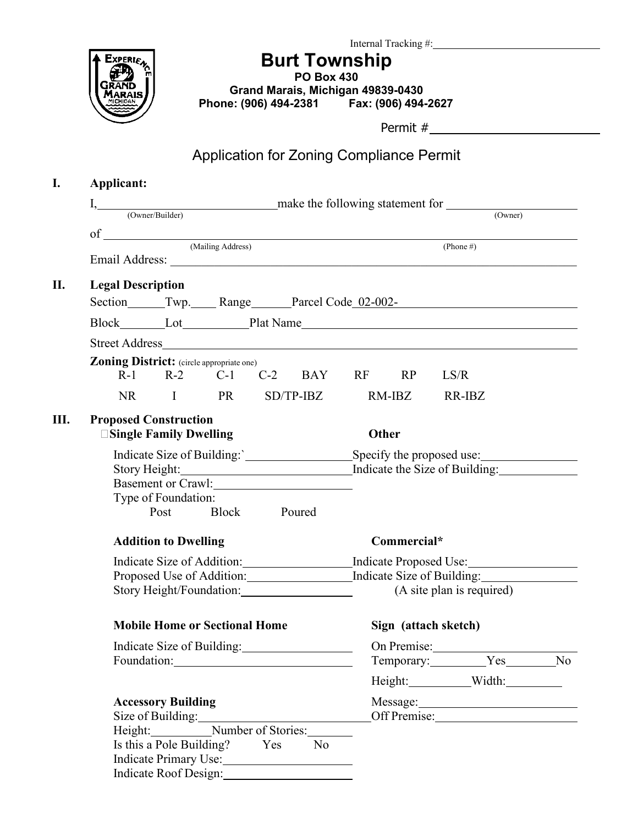

**Burt Township**

**PO Box 430 Grand Marais, Michigan 49839-0430 Phone: (906) 494-2381 Fax: (906) 494-2627**

Permit #

## Application for Zoning Compliance Permit

| Applicant:                                                         |                                                                                                                                                                                                                                |                     |  |                |                           |                                                                                                                                                                                                                                |        |                                        |  |  |  |
|--------------------------------------------------------------------|--------------------------------------------------------------------------------------------------------------------------------------------------------------------------------------------------------------------------------|---------------------|--|----------------|---------------------------|--------------------------------------------------------------------------------------------------------------------------------------------------------------------------------------------------------------------------------|--------|----------------------------------------|--|--|--|
|                                                                    | make the following statement for<br>I, (Owner/Builder)                                                                                                                                                                         |                     |  |                |                           |                                                                                                                                                                                                                                |        |                                        |  |  |  |
|                                                                    |                                                                                                                                                                                                                                |                     |  |                |                           |                                                                                                                                                                                                                                |        | (Owner)                                |  |  |  |
|                                                                    |                                                                                                                                                                                                                                |                     |  |                | (Phone #)                 |                                                                                                                                                                                                                                |        |                                        |  |  |  |
|                                                                    | Email Address: No. 1996. The Contract of the Contract of the Contract of the Contract of the Contract of the Contract of the Contract of the Contract of the Contract of the Contract of the Contract of the Contract of the C |                     |  |                |                           |                                                                                                                                                                                                                                |        |                                        |  |  |  |
| <b>Legal Description</b>                                           |                                                                                                                                                                                                                                |                     |  |                |                           |                                                                                                                                                                                                                                |        |                                        |  |  |  |
|                                                                    |                                                                                                                                                                                                                                |                     |  |                |                           |                                                                                                                                                                                                                                |        | Section Twp. Range Parcel Code 02-002- |  |  |  |
|                                                                    |                                                                                                                                                                                                                                | Block Lot Plat Name |  |                |                           |                                                                                                                                                                                                                                |        |                                        |  |  |  |
|                                                                    |                                                                                                                                                                                                                                |                     |  |                |                           |                                                                                                                                                                                                                                |        |                                        |  |  |  |
|                                                                    | <b>Zoning District:</b> (circle appropriate one)<br>R-1 R-2 C-1 C-2 BAY                                                                                                                                                        |                     |  |                | RF                        | RP                                                                                                                                                                                                                             | LS/R   |                                        |  |  |  |
|                                                                    | NR I PR                                                                                                                                                                                                                        |                     |  |                |                           | $RM$ -IBZ                                                                                                                                                                                                                      |        |                                        |  |  |  |
|                                                                    |                                                                                                                                                                                                                                |                     |  | $SD/TP-IBZ$    |                           |                                                                                                                                                                                                                                | RR-IBZ |                                        |  |  |  |
| <b>Proposed Construction</b>                                       |                                                                                                                                                                                                                                |                     |  |                |                           |                                                                                                                                                                                                                                |        |                                        |  |  |  |
|                                                                    | <b>Single Family Dwelling</b>                                                                                                                                                                                                  |                     |  |                |                           | Other                                                                                                                                                                                                                          |        |                                        |  |  |  |
| Indicate Size of Building: Specify the proposed use:               |                                                                                                                                                                                                                                |                     |  |                |                           |                                                                                                                                                                                                                                |        |                                        |  |  |  |
| Story Height: Indicate the Size of Building:<br>Basement or Crawl: |                                                                                                                                                                                                                                |                     |  |                |                           |                                                                                                                                                                                                                                |        |                                        |  |  |  |
|                                                                    |                                                                                                                                                                                                                                |                     |  |                |                           |                                                                                                                                                                                                                                |        |                                        |  |  |  |
|                                                                    | Type of Foundation:<br>Post                                                                                                                                                                                                    | Block Poured        |  |                |                           |                                                                                                                                                                                                                                |        |                                        |  |  |  |
|                                                                    |                                                                                                                                                                                                                                |                     |  |                |                           |                                                                                                                                                                                                                                |        |                                        |  |  |  |
| <b>Addition to Dwelling</b>                                        | Commercial*                                                                                                                                                                                                                    |                     |  |                |                           |                                                                                                                                                                                                                                |        |                                        |  |  |  |
|                                                                    | Indicate Size of Addition: Indicate Proposed Use:                                                                                                                                                                              |                     |  |                |                           |                                                                                                                                                                                                                                |        |                                        |  |  |  |
|                                                                    | Proposed Use of Addition: Indicate Size of Building:                                                                                                                                                                           |                     |  |                |                           |                                                                                                                                                                                                                                |        |                                        |  |  |  |
|                                                                    |                                                                                                                                                                                                                                |                     |  |                | (A site plan is required) |                                                                                                                                                                                                                                |        |                                        |  |  |  |
| <b>Mobile Home or Sectional Home</b>                               |                                                                                                                                                                                                                                |                     |  |                | Sign (attach sketch)      |                                                                                                                                                                                                                                |        |                                        |  |  |  |
|                                                                    |                                                                                                                                                                                                                                | On Premise:         |  |                |                           |                                                                                                                                                                                                                                |        |                                        |  |  |  |
| Indicate Size of Building:                                         |                                                                                                                                                                                                                                |                     |  |                |                           |                                                                                                                                                                                                                                |        | Temporary: Yes No                      |  |  |  |
|                                                                    |                                                                                                                                                                                                                                |                     |  |                |                           |                                                                                                                                                                                                                                |        | Height: Width:                         |  |  |  |
|                                                                    | <b>Accessory Building</b>                                                                                                                                                                                                      |                     |  |                |                           | Message: 1988 Message: 1988 Message: 1988 Message: 1988 Message: 1988 Message: 1988 Message: 1988 Message: 1988 Message: 1988 Message: 1988 Message: 1988 Message: 1988 Message: 1988 Message: 1988 Message: 1988 Message: 198 |        |                                        |  |  |  |
|                                                                    | Size of Building:<br>Height: Number of Stories:                                                                                                                                                                                |                     |  |                |                           |                                                                                                                                                                                                                                |        |                                        |  |  |  |
|                                                                    |                                                                                                                                                                                                                                |                     |  |                |                           |                                                                                                                                                                                                                                |        |                                        |  |  |  |
|                                                                    | Is this a Pole Building? Yes                                                                                                                                                                                                   |                     |  | N <sub>o</sub> |                           |                                                                                                                                                                                                                                |        |                                        |  |  |  |
|                                                                    | Indicate Primary Use:<br>Indicate Roof Design:                                                                                                                                                                                 |                     |  |                |                           |                                                                                                                                                                                                                                |        |                                        |  |  |  |
|                                                                    |                                                                                                                                                                                                                                |                     |  |                |                           |                                                                                                                                                                                                                                |        |                                        |  |  |  |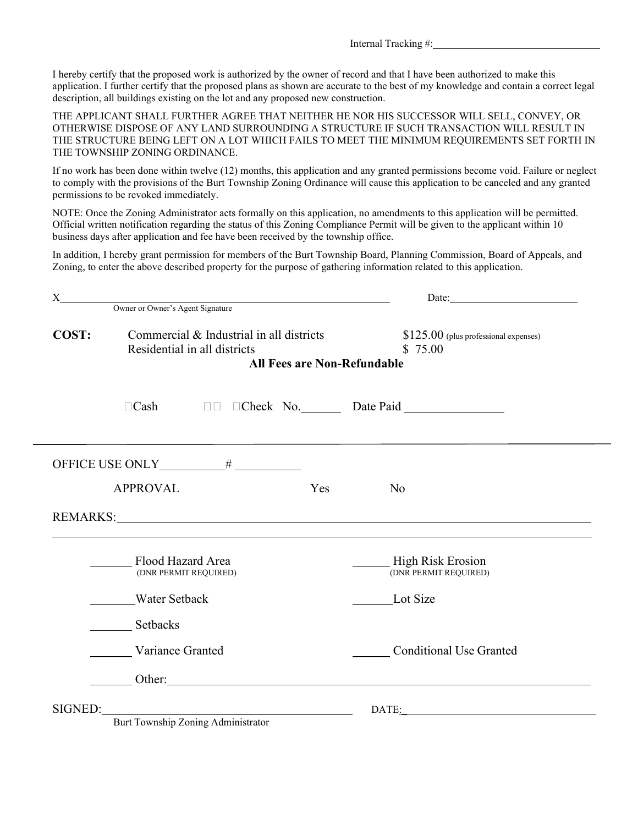Internal Tracking #:

I hereby certify that the proposed work is authorized by the owner of record and that I have been authorized to make this application. I further certify that the proposed plans as shown are accurate to the best of my knowledge and contain a correct legal description, all buildings existing on the lot and any proposed new construction.

THE APPLICANT SHALL FURTHER AGREE THAT NEITHER HE NOR HIS SUCCESSOR WILL SELL, CONVEY, OR OTHERWISE DISPOSE OF ANY LAND SURROUNDING A STRUCTURE IF SUCH TRANSACTION WILL RESULT IN THE STRUCTURE BEING LEFT ON A LOT WHICH FAILS TO MEET THE MINIMUM REQUIREMENTS SET FORTH IN THE TOWNSHIP ZONING ORDINANCE.

If no work has been done within twelve (12) months, this application and any granted permissions become void. Failure or neglect to comply with the provisions of the Burt Township Zoning Ordinance will cause this application to be canceled and any granted permissions to be revoked immediately.

NOTE: Once the Zoning Administrator acts formally on this application, no amendments to this application will be permitted. Official written notification regarding the status of this Zoning Compliance Permit will be given to the applicant within 10 business days after application and fee have been received by the township office.

In addition, I hereby grant permission for members of the Burt Township Board, Planning Commission, Board of Appeals, and Zoning, to enter the above described property for the purpose of gathering information related to this application.

| X       |                                                                          | Date: $\qquad \qquad$                             |  |  |  |
|---------|--------------------------------------------------------------------------|---------------------------------------------------|--|--|--|
|         | Owner or Owner's Agent Signature                                         |                                                   |  |  |  |
| COST:   | Commercial & Industrial in all districts<br>Residential in all districts | $$125.00$ (plus professional expenses)<br>\$75.00 |  |  |  |
|         | <b>All Fees are Non-Refundable</b>                                       |                                                   |  |  |  |
|         | $\Box$ Cash                                                              | <b>DE Check No. Date Paid</b>                     |  |  |  |
|         |                                                                          |                                                   |  |  |  |
|         | <b>APPROVAL</b><br>Yes                                                   | N <sub>o</sub>                                    |  |  |  |
|         |                                                                          |                                                   |  |  |  |
|         | Flood Hazard Area<br>(DNR PERMIT REQUIRED)                               | <b>High Risk Erosion</b><br>(DNR PERMIT REQUIRED) |  |  |  |
|         | <b>Water Setback</b>                                                     | Lot Size                                          |  |  |  |
|         | Setbacks                                                                 |                                                   |  |  |  |
|         | <b>Variance Granted</b>                                                  | <b>Conditional Use Granted</b>                    |  |  |  |
|         | Other: Other:                                                            |                                                   |  |  |  |
| SIGNED: |                                                                          | DATE:                                             |  |  |  |
|         | Burt Township Zoning Administrator                                       |                                                   |  |  |  |